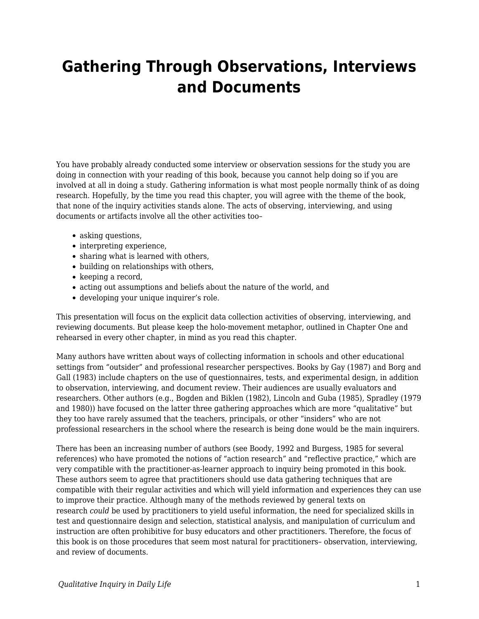## **Gathering Through Observations, Interviews and Documents**

You have probably already conducted some interview or observation sessions for the study you are doing in connection with your reading of this book, because you cannot help doing so if you are involved at all in doing a study. Gathering information is what most people normally think of as doing research. Hopefully, by the time you read this chapter, you will agree with the theme of the book, that none of the inquiry activities stands alone. The acts of observing, interviewing, and using documents or artifacts involve all the other activities too–

- asking questions,
- interpreting experience,
- sharing what is learned with others,
- building on relationships with others,
- $\bullet$  keeping a record,
- acting out assumptions and beliefs about the nature of the world, and
- developing your unique inquirer's role.

This presentation will focus on the explicit data collection activities of observing, interviewing, and reviewing documents. But please keep the holo-movement metaphor, outlined in Chapter One and rehearsed in every other chapter, in mind as you read this chapter.

Many authors have written about ways of collecting information in schools and other educational settings from "outsider" and professional researcher perspectives. Books by Gay (1987) and Borg and Gall (1983) include chapters on the use of questionnaires, tests, and experimental design, in addition to observation, interviewing, and document review. Their audiences are usually evaluators and researchers. Other authors (e.g., Bogden and Biklen (1982), Lincoln and Guba (1985), Spradley (1979 and 1980)) have focused on the latter three gathering approaches which are more "qualitative" but they too have rarely assumed that the teachers, principals, or other "insiders" who are not professional researchers in the school where the research is being done would be the main inquirers.

There has been an increasing number of authors (see Boody, 1992 and Burgess, 1985 for several references) who have promoted the notions of "action research" and "reflective practice," which are very compatible with the practitioner-as-learner approach to inquiry being promoted in this book. These authors seem to agree that practitioners should use data gathering techniques that are compatible with their regular activities and which will yield information and experiences they can use to improve their practice. Although many of the methods reviewed by general texts on research *could* be used by practitioners to yield useful information, the need for specialized skills in test and questionnaire design and selection, statistical analysis, and manipulation of curriculum and instruction are often prohibitive for busy educators and other practitioners. Therefore, the focus of this book is on those procedures that seem most natural for practitioners– observation, interviewing, and review of documents.